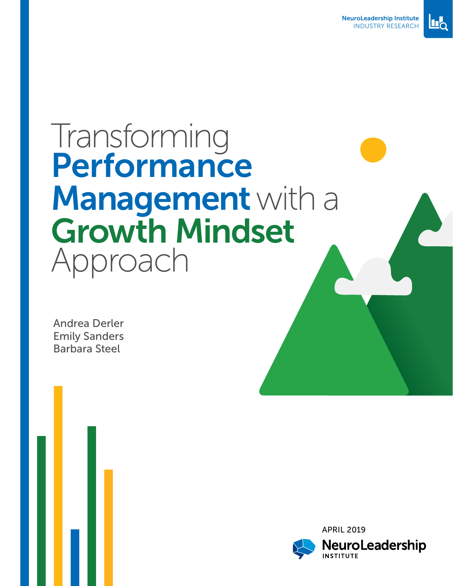



# Transforming Performance Management with a Growth Mindset Approach

Andrea Derler Emily Sanders Barbara Steel

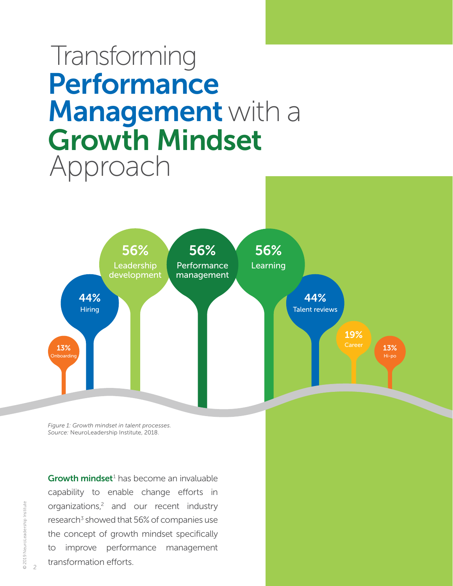# <span id="page-1-0"></span>Transforming **Performance** Management with a Growth Mindset Approach



*Figure 1: Growth mindset in talent processes. Source:* NeuroLeadership Institute, 2018.

Growth mindset<sup>[1](#page-12-0)</sup> has become an invaluable capability to enable change efforts in organizations, [2](#page-12-0) and our recent industry research<sup>3</sup> showed that 56% of companies use the concept of growth mindset specifically to improve performance management transformation efforts.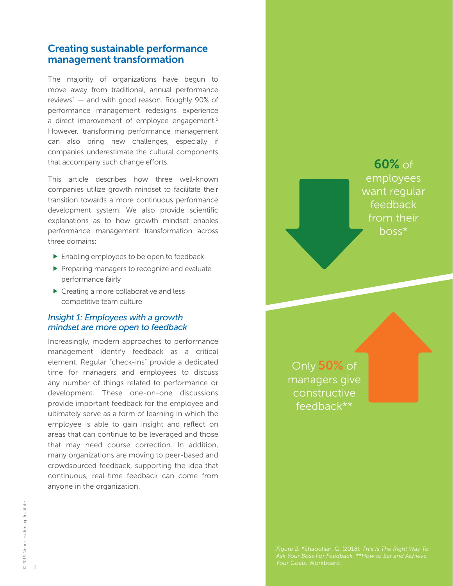## <span id="page-2-0"></span>Creating sustainable performance management transformation

The majority of organizations have begun to move away from traditional, annual performance reviews $4 4 -$  and with good reason. Roughly 90% of performance management redesigns experience a direct improvement of employee engagement.<sup>[5](#page-12-0)</sup> However, transforming performance management can also bring new challenges, especially if companies underestimate the cultural components that accompany such change efforts.

This article describes how three well-known companies utilize growth mindset to facilitate their transition towards a more continuous performance development system. We also provide scientific explanations as to how growth mindset enables performance management transformation across three domains:

- **Enabling employees to be open to feedback**
- $\blacktriangleright$  Preparing managers to recognize and evaluate performance fairly
- ▶ Creating a more collaborative and less competitive team culture

#### *Insight 1: Employees with a growth mindset are more open to feedback*

Increasingly, modern approaches to performance management identify feedback as a critical element. Regular "check-ins" provide a dedicated time for managers and employees to discuss any number of things related to performance or development. These one-on-one discussions provide important feedback for the employee and ultimately serve as a form of learning in which the employee is able to gain insight and reflect on areas that can continue to be leveraged and those that may need course correction. In addition, many organizations are moving to peer-based and crowdsourced feedback, supporting the idea that continuous, real-time feedback can come from anyone in the organization.

60% of employees want regular feedback from their boss\*

Only 50% of managers give constructive feedback\*\*

*Figure 2: \**Shaoolian, G. (2018)*. This Is The Right Way To Your Goals.* Workboard*.*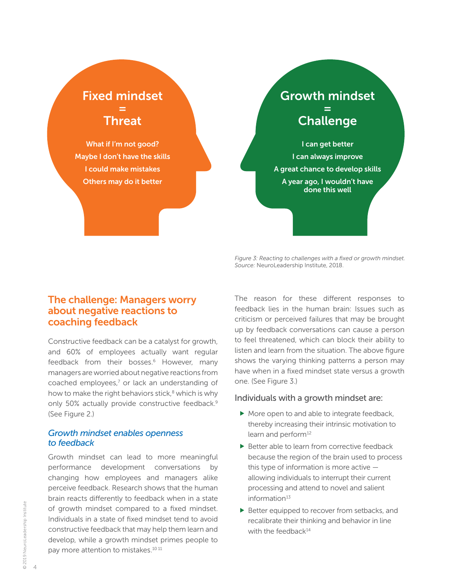## <span id="page-3-0"></span>Fixed mindset = Threat

What if I'm not good? Maybe I don't have the skills I could make mistakes Others may do it better

## Growth mindset = Challenge

I can get better I can always improve A great chance to develop skills A year ago, I wouldn't have done this well

*Figure 3: Reacting to challenges with a fixed or growth mindset. Source:* NeuroLeadership Institute, 2018.

## The challenge: Managers worry about negative reactions to coaching feedback

Constructive feedback can be a catalyst for growth, and 60% of employees actually want regular feedback from their bosses.<sup>6</sup> However, many managers are worried about negative reactions from coached employees, $<sup>7</sup>$  or lack an understanding of</sup> how to make the right behaviors stick,<sup>8</sup> which is why only 50% actually provide constructive feedback.<sup>9</sup> (See Figure 2.)

#### *Growth mindset enables openness to feedback*

Growth mindset can lead to more meaningful performance development conversations by changing how employees and managers alike perceive feedback. Research shows that the human brain reacts differently to feedback when in a state of growth mindset compared to a fixed mindset. Individuals in a state of fixed mindset tend to avoid constructive feedback that may help them learn and develop, while a growth mindset primes people to pay more attention to mistakes.<sup>[10](#page-12-0) 11</sup>

The reason for these different responses to feedback lies in the human brain: Issues such as criticism or perceived failures that may be brought up by feedback conversations can cause a person to feel threatened, which can block their ability to listen and learn from the situation. The above figure shows the varying thinking patterns a person may have when in a fixed mindset state versus a growth one. (See Figure 3.)

#### Individuals with a growth mindset are:

- $\blacktriangleright$  More open to and able to integrate feedback, thereby increasing their intrinsic motivation to learn and perform<sup>[12](#page-12-0)</sup>
- Better able to learn from corrective feedback because the region of the brain used to process this type of information is more active allowing individuals to interrupt their current processing and attend to novel and salient information $13$
- Better equipped to recover from setbacks, and recalibrate their thinking and behavior in line with the feedback $14$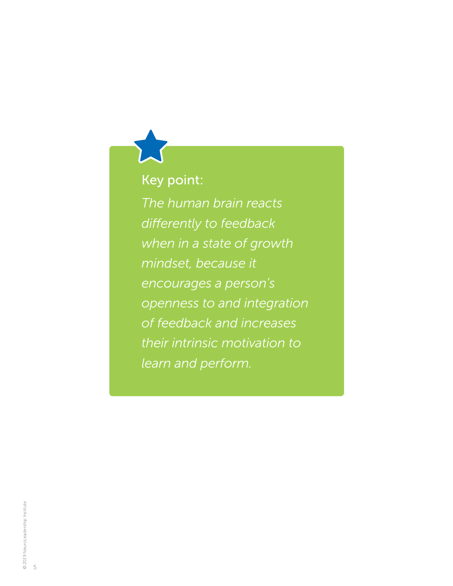## Key point:

*The human brain reacts differently to feedback when in a state of growth mindset, because it encourages a person's openness to and integration of feedback and increases their intrinsic motivation to learn and perform.*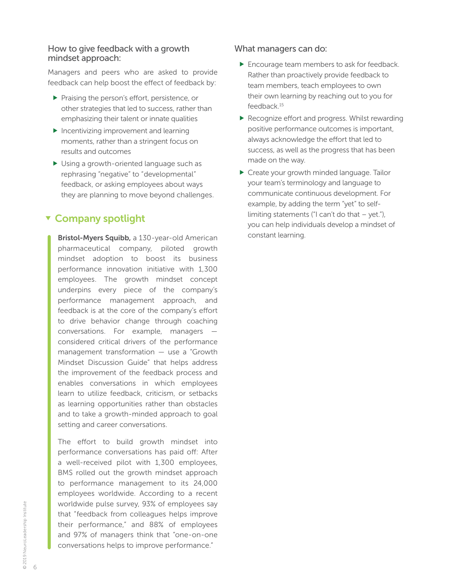#### <span id="page-5-0"></span>How to give feedback with a growth mindset approach:

Managers and peers who are asked to provide feedback can help boost the effect of feedback by:

- Praising the person's effort, persistence, or other strategies that led to success, rather than emphasizing their talent or innate qualities
- $\blacktriangleright$  Incentivizing improvement and learning moments, rather than a stringent focus on results and outcomes
- Using a growth-oriented language such as rephrasing "negative" to "developmental" feedback, or asking employees about ways they are planning to move beyond challenges.

## **v** Company spotlight

Bristol-Myers Squibb, a 130-year-old American pharmaceutical company, piloted growth mindset adoption to boost its business performance innovation initiative with 1,300 employees. The growth mindset concept underpins every piece of the company's performance management approach, and feedback is at the core of the company's effort to drive behavior change through coaching conversations. For example, managers considered critical drivers of the performance management transformation — use a "Growth Mindset Discussion Guide" that helps address the improvement of the feedback process and enables conversations in which employees learn to utilize feedback, criticism, or setbacks as learning opportunities rather than obstacles and to take a growth-minded approach to goal setting and career conversations.

The effort to build growth mindset into performance conversations has paid off: After a well-received pilot with 1,300 employees, BMS rolled out the growth mindset approach to performance management to its 24,000 employees worldwide. According to a recent worldwide pulse survey, 93% of employees say that "feedback from colleagues helps improve their performance," and 88% of employees and 97% of managers think that "one-on-one conversations helps to improve performance."

#### What managers can do:

- **Encourage team members to ask for feedback.** Rather than proactively provide feedback to team members, teach employees to own their own learning by reaching out to you for feedback.[15](#page-12-0)
- Recognize effort and progress. Whilst rewarding positive performance outcomes is important, always acknowledge the effort that led to success, as well as the progress that has been made on the way.
- ▶ Create your growth minded language. Tailor your team's terminology and language to communicate continuous development. For example, by adding the term "yet" to selflimiting statements ("I can't do that  $-$  yet."), you can help individuals develop a mindset of constant learning.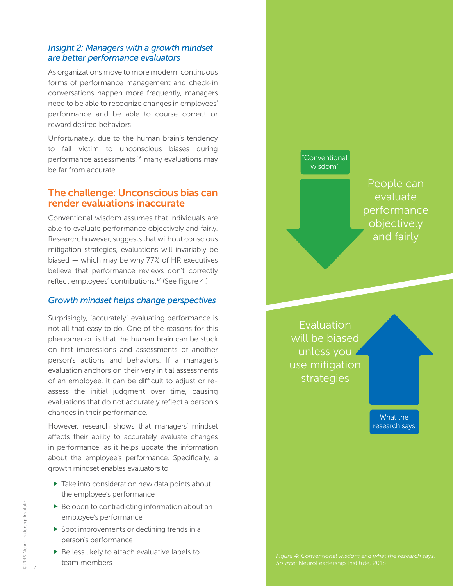#### <span id="page-6-0"></span>*Insight 2: Managers with a growth mindset are better performance evaluators*

As organizations move to more modern, continuous forms of performance management and check-in conversations happen more frequently, managers need to be able to recognize changes in employees' performance and be able to course correct or reward desired behaviors.

Unfortunately, due to the human brain's tendency to fall victim to unconscious biases during performance assessments,<sup>16</sup> many evaluations may be far from accurate.

## The challenge: Unconscious bias can render evaluations inaccurate

Conventional wisdom assumes that individuals are able to evaluate performance objectively and fairly. Research, however, suggests that without conscious mitigation strategies, evaluations will invariably be biased — which may be why 77% of HR executives believe that performance reviews don't correctly reflect employees' contributions.<sup>[17](#page-12-0)</sup> (See Figure 4.)

#### *Growth mindset helps change perspectives*

Surprisingly, "accurately" evaluating performance is not all that easy to do. One of the reasons for this phenomenon is that the human brain can be stuck on first impressions and assessments of another person's actions and behaviors. If a manager's evaluation anchors on their very initial assessments of an employee, it can be difficult to adjust or reassess the initial judgment over time, causing evaluations that do not accurately reflect a person's changes in their performance.

However, research shows that managers' mindset affects their ability to accurately evaluate changes in performance, as it helps update the information about the employee's performance. Specifically, a growth mindset enables evaluators to:

- $\triangleright$  Take into consideration new data points about the employee's performance
- $\blacktriangleright$  Be open to contradicting information about an employee's performance
- $\triangleright$  Spot improvements or declining trends in a person's performance
- $\blacktriangleright$  Be less likely to attach evaluative labels to team members



Evaluation will be biased unless you use mitigation strategies

> What the research says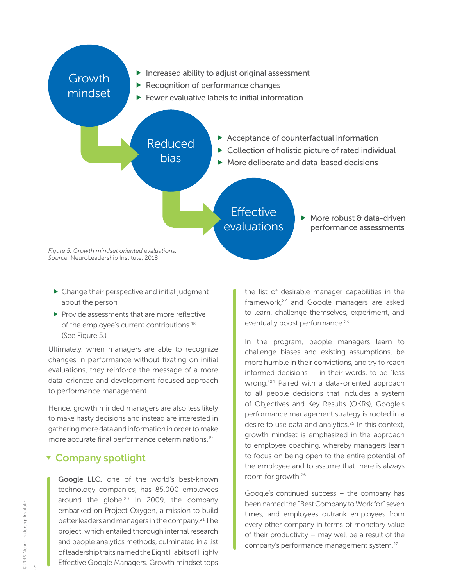<span id="page-7-0"></span>

- Change their perspective and initial judgment about the person
- $\blacktriangleright$  Provide assessments that are more reflective of the employee's current contributions.<sup>18</sup> (See Figure 5.)

Ultimately, when managers are able to recognize changes in performance without fixating on initial evaluations, they reinforce the message of a more data-oriented and development-focused approach to performance management.

Hence, growth minded managers are also less likely to make hasty decisions and instead are interested in gathering more data and information in order to make more accurate final performance determinations.<sup>[19](#page-12-0)</sup>

### **v** Company spotlight

Google LLC, one of the world's best-known technology companies, has 85,000 employees around the globe. $20$  In 2009, the company embarked on Project Oxygen, a mission to build better leaders and managers in the company.<sup>21</sup> The project, which entailed thorough internal research and people analytics methods, culminated in a list of leadership traits named the Eight Habits of Highly Effective Google Managers. Growth mindset tops

the list of desirable manager capabilities in the framework,<sup>22</sup> and Google managers are asked to learn, challenge themselves, experiment, and eventually boost performance.<sup>23</sup>

In the program, people managers learn to challenge biases and existing assumptions, be more humble in their convictions, and try to reach informed decisions — in their words, to be "less wrong."[24](#page-12-0) Paired with a data-oriented approach to all people decisions that includes a system of Objectives and Key Results (OKRs), Google's performance management strategy is rooted in a desire to use data and analytics.<sup>25</sup> In this context, growth mindset is emphasized in the approach to employee coaching, whereby managers learn to focus on being open to the entire potential of the employee and to assume that there is always room for growth.[26](#page-12-0)

Google's continued success – the company has been named the "Best Company to Work for" seven times, and employees outrank employees from every other company in terms of monetary value of their productivity – may well be a result of the company's performance management system.[27](#page-12-0)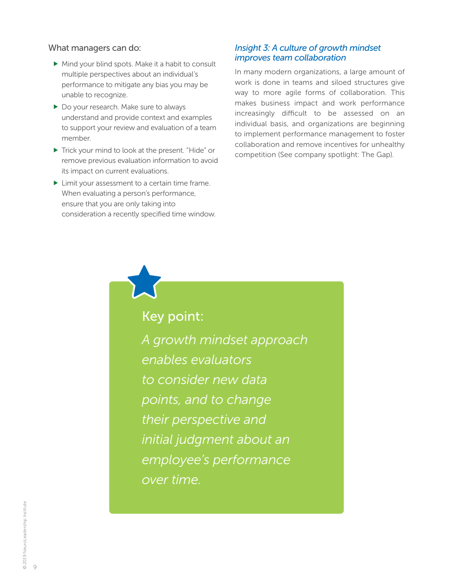#### What managers can do:

- Mind your blind spots. Make it a habit to consult multiple perspectives about an individual's performance to mitigate any bias you may be unable to recognize.
- ▶ Do your research. Make sure to always understand and provide context and examples to support your review and evaluation of a team member.
- ▶ Trick your mind to look at the present. "Hide" or remove previous evaluation information to avoid its impact on current evaluations.
- Init your assessment to a certain time frame. When evaluating a person's performance, ensure that you are only taking into consideration a recently specified time window.

#### *Insight 3: A culture of growth mindset improves team collaboration*

In many modern organizations, a large amount of work is done in teams and siloed structures give way to more agile forms of collaboration. This makes business impact and work performance increasingly difficult to be assessed on an individual basis, and organizations are beginning to implement performance management to foster collaboration and remove incentives for unhealthy competition (See company spotlight: The Gap).

Key point:

*A growth mindset approach enables evaluators to consider new data points, and to change their perspective and initial judgment about an employee's performance over time.*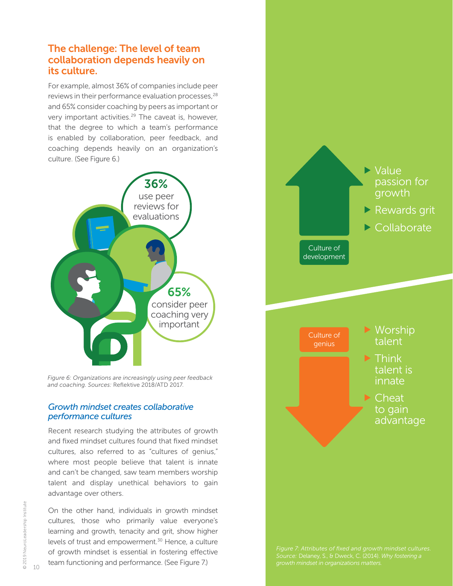## <span id="page-9-0"></span>The challenge: The level of team collaboration depends heavily on its culture.

For example, almost 36% of companies include peer reviews in their performance evaluation processes,<sup>[28](#page-12-0)</sup> and 65% consider coaching by peers as important or very important activities.<sup>29</sup> The caveat is, however, that the degree to which a team's performance is enabled by collaboration, peer feedback, and coaching depends heavily on an organization's culture. (See Figure 6.)



*Figure 6: Organizations are increasingly using peer feedback and coaching. Sources:* Reflektive 2018/ATD 2017.

#### *Growth mindset creates collaborative performance cultures*

Recent research studying the attributes of growth and fixed mindset cultures found that fixed mindset cultures, also referred to as "cultures of genius," where most people believe that talent is innate and can't be changed, saw team members worship talent and display unethical behaviors to gain advantage over others.

On the other hand, individuals in growth mindset cultures, those who primarily value everyone's learning and growth, tenacity and grit, show higher levels of trust and empowerment.<sup>30</sup> Hence, a culture of growth mindset is essential in fostering effective team functioning and performance. (See Figure 7.)

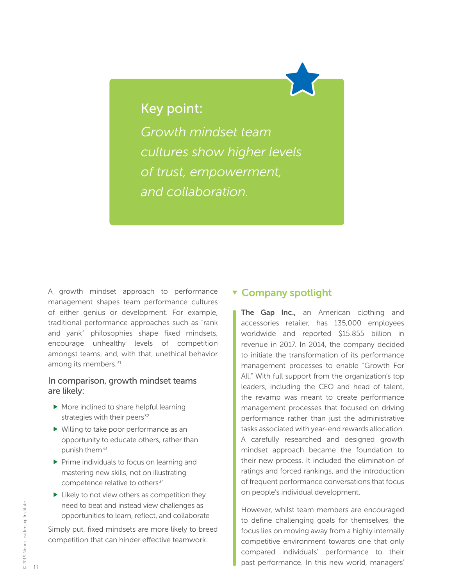## <span id="page-10-0"></span>Key point:

*Growth mindset team cultures show higher levels of trust, empowerment, and collaboration.*

A growth mindset approach to performance management shapes team performance cultures of either genius or development. For example, traditional performance approaches such as "rank and yank" philosophies shape fixed mindsets, encourage unhealthy levels of competition amongst teams, and, with that, unethical behavior among its members.<sup>31</sup>

#### In comparison, growth mindset teams are likely:

- More inclined to share helpful learning strategies with their peers $32$
- Willing to take poor performance as an opportunity to educate others, rather than punish them<sup>[33](#page-12-0)</sup>
- $\triangleright$  Prime individuals to focus on learning and mastering new skills, not on illustrating competence relative to others<sup>[34](#page-12-0)</sup>
- $\blacktriangleright$  Likely to not view others as competition they need to beat and instead view challenges as opportunities to learn, reflect, and collaborate

Simply put, fixed mindsets are more likely to breed competition that can hinder effective teamwork.

### **v** Company spotlight

The Gap Inc., an American clothing and accessories retailer, has 135,000 employees worldwide and reported \$15.855 billion in revenue in 2017. In 2014, the company decided to initiate the transformation of its performance management processes to enable "Growth For All." With full support from the organization's top leaders, including the CEO and head of talent, the revamp was meant to create performance management processes that focused on driving performance rather than just the administrative tasks associated with year-end rewards allocation. A carefully researched and designed growth mindset approach became the foundation to their new process. It included the elimination of ratings and forced rankings, and the introduction of frequent performance conversations that focus on people's individual development.

However, whilst team members are encouraged to define challenging goals for themselves, the focus lies on moving away from a highly internally competitive environment towards one that only compared individuals' performance to their past performance. In this new world, managers'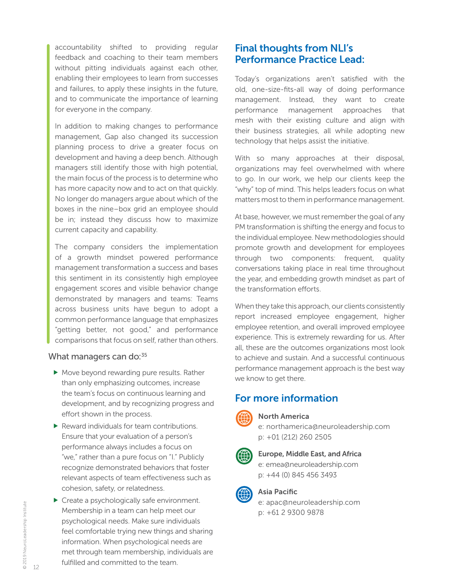<span id="page-11-0"></span>accountability shifted to providing regular feedback and coaching to their team members without pitting individuals against each other, enabling their employees to learn from successes and failures, to apply these insights in the future, and to communicate the importance of learning for everyone in the company.

In addition to making changes to performance management, Gap also changed its succession planning process to drive a greater focus on development and having a deep bench. Although managers still identify those with high potential, the main focus of the process is to determine who has more capacity now and to act on that quickly. No longer do managers argue about which of the boxes in the nine–box grid an employee should be in; instead they discuss how to maximize current capacity and capability.

The company considers the implementation of a growth mindset powered performance management transformation a success and bases this sentiment in its consistently high employee engagement scores and visible behavior change demonstrated by managers and teams: Teams across business units have begun to adopt a common performance language that emphasizes "getting better, not good," and performance comparisons that focus on self, rather than others.

#### What managers can do: $35$

- Move beyond rewarding pure results. Rather than only emphasizing outcomes, increase the team's focus on continuous learning and development, and by recognizing progress and effort shown in the process.
- $\blacktriangleright$  Reward individuals for team contributions. Ensure that your evaluation of a person's performance always includes a focus on "we," rather than a pure focus on "I." Publicly recognize demonstrated behaviors that foster relevant aspects of team effectiveness such as cohesion, safety, or relatedness.
- ▶ Create a psychologically safe environment. Membership in a team can help meet our psychological needs. Make sure individuals feel comfortable trying new things and sharing information. When psychological needs are met through team membership, individuals are fulfilled and committed to the team.

## Final thoughts from NLI's Performance Practice Lead:

Today's organizations aren't satisfied with the old, one-size-fits-all way of doing performance management. Instead, they want to create performance management approaches that mesh with their existing culture and align with their business strategies, all while adopting new technology that helps assist the initiative.

With so many approaches at their disposal, organizations may feel overwhelmed with where to go. In our work, we help our clients keep the "why" top of mind. This helps leaders focus on what matters most to them in performance management.

At base, however, we must remember the goal of any PM transformation is shifting the energy and focus to the individual employee. New methodologies should promote growth and development for employees through two components: frequent, quality conversations taking place in real time throughout the year, and embedding growth mindset as part of the transformation efforts.

When they take this approach, our clients consistently report increased employee engagement, higher employee retention, and overall improved employee experience. This is extremely rewarding for us. After all, these are the outcomes organizations most look to achieve and sustain. And a successful continuous performance management approach is the best way we know to get there.

## For more information



#### North America

e: northamerica@neuroleadership.com p: +01 (212) 260 2505



Europe, Middle East, and Africa e: emea@neuroleadership.com

p: +44 (0) 845 456 3493



Asia Pacific

e: apac@neuroleadership.com p: +61 2 9300 9878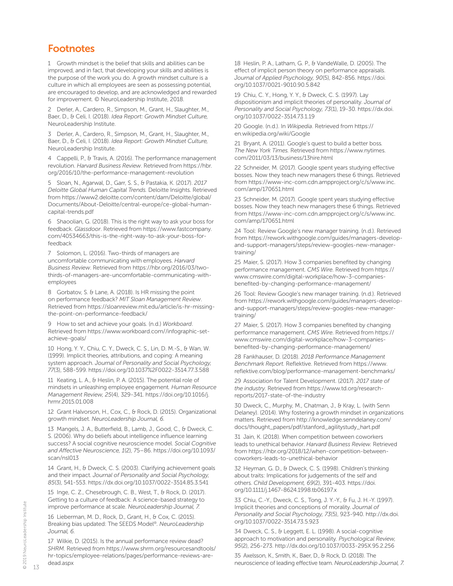## <span id="page-12-0"></span>**Footnotes**

[1](#page-1-0) Growth mindset is the belief that skills and abilities can be improved, and in fact, that developing your skills and abilities is the purpose of the work you do. A growth mindset culture is a culture in which all employees are seen as possessing potential, are encouraged to develop, and are acknowledged and rewarded for improvement. © NeuroLeadership Institute, 2018.

[2](#page-1-0) Derler, A., Cardero, R., Simpson, M., Grant, H., Slaughter, M., Baer, D., & Celi, I. (2018). *Idea Report: Growth Mindset Culture,* NeuroLeadership Institute.

[3](#page-1-0) Derler, A., Cardero, R., Simpson, M., Grant, H., Slaughter, M., Baer, D., & Celi, I. (2018). *Idea Report: Growth Mindset Culture,* NeuroLeadership Institute.

[4](#page-2-0) Cappelli, P., & Travis, A. (2016). The performance management revolution. *Harvard Business Review*. Retrieved from [https://hbr.](https://hbr.org/2016/10/the-performance-management-revolution) [org/2016/10/the-performance-management-revolution](https://hbr.org/2016/10/the-performance-management-revolution)

[5](#page-2-0) Sloan, N., Agarwal, D., Garr, S. S., & Pastakia, K. (2017). *2017 Deloitte Global Human Capital Trends.* Deloitte Insights. Retrieved from [https://www2.deloitte.com/content/dam/Deloitte/global/](https://www2.deloitte.com/content/dam/Deloitte/global/Documents/About-Deloitte/central-europe/ce-global-human-capital-trends.pdf) [Documents/About-Deloitte/central-europe/ce-global-human](https://www2.deloitte.com/content/dam/Deloitte/global/Documents/About-Deloitte/central-europe/ce-global-human-capital-trends.pdf)[capital-trends.pdf](https://www2.deloitte.com/content/dam/Deloitte/global/Documents/About-Deloitte/central-europe/ce-global-human-capital-trends.pdf)

[6](#page-3-0) Shaoolian, G. (2018). This is the right way to ask your boss for feedback. *Glassdoor*. Retrieved from [https://www.fastcompany.](https://www.fastcompany.com/40534663/this-is-the-right-way-to-ask-your-boss-for-feedback) [com/40534663/this-is-the-right-way-to-ask-your-boss-for](https://www.fastcompany.com/40534663/this-is-the-right-way-to-ask-your-boss-for-feedback)[feedback](https://www.fastcompany.com/40534663/this-is-the-right-way-to-ask-your-boss-for-feedback)

[7](#page-3-0) Solomon, L. (2016). Two-thirds of managers are uncomfortable communicating with employees. *Harvard Business Review*. Retrieved from [https://hbr.org/2016/03/two](https://hbr.org/2016/03/two-thirds-of-managers-are-uncomfortable-communicating-with-employees)[thirds-of-managers-are-uncomfortable-communicating-with](https://hbr.org/2016/03/two-thirds-of-managers-are-uncomfortable-communicating-with-employees)[employees](https://hbr.org/2016/03/two-thirds-of-managers-are-uncomfortable-communicating-with-employees)

[8](#page-3-0) Gorbatov, S. & Lane, A. (2018). Is HR missing the point on performance feedback? *MIT Sloan Management Review*. Retrieved from [https://sloanreview.mit.edu/article/is-hr-missing](https://sloanreview.mit.edu/article/is-hr-missing-the-point-on-performance-feedback/)[the-point-on-performance-feedback/](https://sloanreview.mit.edu/article/is-hr-missing-the-point-on-performance-feedback/)

[9](#page-3-0) How to set and achieve your goals. (n.d.) *Workboard*. Retrieved from [https://www.workboard.com//infographic-set](https://www.workboard.com//infographic-set-achieve-goals/)[achieve-goals/](https://www.workboard.com//infographic-set-achieve-goals/)

[10](#page-3-0) Hong, Y. Y., Chiu, C. Y., Dweck, C. S., Lin, D. M.-S., & Wan, W. (1999). Implicit theories, attributions, and coping: A meaning system approach. *Journal of Personality and Social Psychology, 77*(3), 588-599. <https://doi.org/10.1037%2F0022-3514.77.3.588>

[11](#page-3-0) Keating, L. A., & Heslin, P. A. (2015). The potential role of mindsets in unleashing employee engagement*. Human Resource Management Review, 25*(4), 329-341. [https://doi.org/10.1016/j.](https://doi.org/10.1016/j.hrmr.2015.01.008) [hrmr.2015.01.008](https://doi.org/10.1016/j.hrmr.2015.01.008)

[12](#page-3-0) Grant Halvorson, H., Cox, C., & Rock, D. (2015). Organizational growth mindset. *NeuroLeadership Journal, 6.*

[13](#page-3-0) Mangels, J. A., Butterfield, B., Lamb, J., Good, C., & Dweck, C. S. (2006). Why do beliefs about intelligence influence learning success? A social cognitive neuroscience model. *Social Cognitive and Affective Neuroscience, 1*(2), 75–86. [https://doi.org/10.1093/](https://doi.org/10.1093/scan/nsl013) [scan/nsl013](https://doi.org/10.1093/scan/nsl013)

[14](#page-3-0) Grant, H., & Dweck, C. S. (2003). Clarifying achievement goals and their impact. *Journal of Personality and Social Psychology, 85*(3), 541-553. <https://dx.doi.org/10.1037/0022-3514.85.3.541>

[15](#page-5-0) Inge, C. Z., Chesebrough, C. B., West, T., & Rock, D. (2017). Getting to a culture of feedback: A science-based strategy to improve performance at scale. *NeuroLeadership Journal, 7.*

[16](#page-6-0) Lieberman, M. D., Rock, D., Grant, H., & Cox, C. (2015). Breaking bias updated: The SEEDS Model®*. NeuroLeadership Journal, 6.*

[17](#page-6-0) Wilkie, D. (2015). Is the annual performance review dead? *SHRM*. Retrieved from [https://www.shrm.org/resourcesandtools/](https://www.shrm.org/resourcesandtools/hr-topics/employee-relations/pages/performance-reviews-are-dead.aspx) [hr-topics/employee-relations/pages/performance-reviews-are](https://www.shrm.org/resourcesandtools/hr-topics/employee-relations/pages/performance-reviews-are-dead.aspx)[dead.aspx](https://www.shrm.org/resourcesandtools/hr-topics/employee-relations/pages/performance-reviews-are-dead.aspx)

[18](#page-7-0) Heslin, P. A., Latham, G. P., & VandeWalle, D. (2005). The effect of implicit person theory on performance appraisals. *Journal of Applied Psychology, 90*(5), 842-856. [https://doi.](https://doi.org/10.1037/0021-9010.90.5.842) [org/10.1037/0021-9010.90.5.842](https://doi.org/10.1037/0021-9010.90.5.842)

[19](#page-7-0) Chiu, C. Y., Hong, Y. Y., & Dweck, C. S. (1997). Lay dispositionism and implicit theories of personality. *Journal of Personality and Social Psychology, 73*(1), 19-30. [https://dx.doi.](https://dx.doi.org/10.1037/0022-3514.73.1.19) [org/10.1037/0022-3514.73.1.19](https://dx.doi.org/10.1037/0022-3514.73.1.19)

[20](#page-7-0) Google. (n.d.). In *Wikipedia*. Retrieved from [https://](https://en.wikipedia.org/wiki/Google) [en.wikipedia.org/wiki/Google](https://en.wikipedia.org/wiki/Google)

[21](#page-7-0) Bryant, A. (2011). Google's quest to build a better boss*. The New York Times.* Retrieved from [https://www.nytimes.](https://www.nytimes.com/2011/03/13/business/13hire.html) [com/2011/03/13/business/13hire.html](https://www.nytimes.com/2011/03/13/business/13hire.html)

[22](#page-7-0) Schneider, M. (2017). Google spent years studying effective bosses. Now they teach new managers these 6 things. Retrieved from [https://www-inc-com.cdn.ampproject.org/c/s/www.inc.](https://www-inc-com.cdn.ampproject.org/c/s/www.inc.com/amp/170651.html) [com/amp/170651.html](https://www-inc-com.cdn.ampproject.org/c/s/www.inc.com/amp/170651.html)

[23](#page-7-0) Schneider, M. (2017). Google spent years studying effective bosses. Now they teach new managers these 6 things. Retrieved from [https://www-inc-com.cdn.ampproject.org/c/s/www.inc.](https://www-inc-com.cdn.ampproject.org/c/s/www.inc.com/amp/170651.html) [com/amp/170651.html](https://www-inc-com.cdn.ampproject.org/c/s/www.inc.com/amp/170651.html)

[24](#page-7-0) Tool: Review Google's new manager training. (n.d.). Retrieved from [https://rework.withgoogle.com/guides/managers-develop](https://rework.withgoogle.com/guides/managers-develop-and-support-managers/steps/review-googles-new-manager-training/)[and-support-managers/steps/review-googles-new-manager](https://rework.withgoogle.com/guides/managers-develop-and-support-managers/steps/review-googles-new-manager-training/)[training/](https://rework.withgoogle.com/guides/managers-develop-and-support-managers/steps/review-googles-new-manager-training/)

[25](#page-7-0) Maier, S. (2017). How 3 companies benefited by changing performance management. *CMS Wire.* Retrieved from [https://](https://www.cmswire.com/digital-workplace/how-3-companies-benefited-by-changing-performance-management/) [www.cmswire.com/digital-workplace/how-3-companies](https://www.cmswire.com/digital-workplace/how-3-companies-benefited-by-changing-performance-management/)[benefited-by-changing-performance-management/](https://www.cmswire.com/digital-workplace/how-3-companies-benefited-by-changing-performance-management/)

[26](#page-7-0) [Tool: Review Google's new manager training. \(n.d.\). Retrieved](https://rework.withgoogle.com/guides/managers-develop-and-support-managers/steps/review-googles-new-manager-training/)  [from https://rework.withgoogle.com/guides/managers-develop](https://rework.withgoogle.com/guides/managers-develop-and-support-managers/steps/review-googles-new-manager-training/)[and-support-managers/steps/review-googles-new-manager](https://rework.withgoogle.com/guides/managers-develop-and-support-managers/steps/review-googles-new-manager-training/)training/

[27](#page-7-0) Maier, S. (2017). How 3 companies benefited by changing performance management. *CMS Wire.* Retrieved from https:// www.cmswire.com/digital-workplace/how-3-companiesbenefited-by-changing-performance-management/

[28](#page-9-0) Fankhauser, D. (2018). *2018 Performance Management Benchmark Report.* Reflektive. Retrieved from [https://www.](https://www.reflektive.com/blog/performance-management-benchmarks/) [reflektive.com/blog/performance-management-benchmarks/](https://www.reflektive.com/blog/performance-management-benchmarks/)

[29](#page-9-0) Association for Talent Development. (2017). *2017 state of the industry.* Retrieved from [https://www.td.org/research](https://www.td.org/research-reports/2017-state-of-the-industry)[reports/2017-state-of-the-industry](https://www.td.org/research-reports/2017-state-of-the-industry)

[30](#page-9-0) Dweck, C., Murphy, M., Chatman, J., & Kray, L. (with Senn Delaney). (2014). Why fostering a growth mindset in organizations matters. Retrieved from [http://knowledge.senndelaney.com/](http://knowledge.senndelaney.com/docs/thought_papers/pdf/stanford_agilitystudy_hart.pdf) [docs/thought\\_papers/pdf/stanford\\_agilitystudy\\_hart.pdf](http://knowledge.senndelaney.com/docs/thought_papers/pdf/stanford_agilitystudy_hart.pdf)

[31](#page-10-0) Jain, K. (2018). When competition between coworkers leads to unethical behavior. *Harvard Business Review.* Retrieved from [https://hbr.org/2018/12/when-competition-between](https://hbr.org/2018/12/when-competition-between-coworkers-leads-to-unethical-behavior)[coworkers-leads-to-unethical-behavior](https://hbr.org/2018/12/when-competition-between-coworkers-leads-to-unethical-behavior)

[32](#page-10-0) Heyman, G. D., & Dweck, C. S. (1998). Children's thinking about traits: Implications for judgements of the self and others. *Child Development, 69*(2), 391-403. [https://doi.](https://doi.org/10.1111/j.1467-8624.1998.tb06197.x) [org/10.1111/j.1467-8624.1998.tb06197.x](https://doi.org/10.1111/j.1467-8624.1998.tb06197.x)

[33](#page-10-0) Chiu, C.-Y., Dweck, C. S., Tong, J. Y.-Y., & Fu, J. H.-Y. (1997). Implicit theories and conceptions of morality. *Journal of Personality and Social Psychology, 73*(5), 923-940. [http://dx.doi.](http://dx.doi.org/10.1037/0022-3514.73.5.923) [org/10.1037/0022-3514.73.5.923](http://dx.doi.org/10.1037/0022-3514.73.5.923)

[34](#page-10-0) Dweck, C. S., & Leggett, E. L. (1998). A social-cognitive approach to motivation and personality*. Psychological Review, 95*(2), 256-273. <http://dx.doi.org/10.1037/0033-295X.95.2.256>

[35](#page-11-0) Axelsson, K., Smith, K., Baer, D., & Rock, D. (2018). The neuroscience of leading effective team. *NeuroLeadership Journal, 7.*